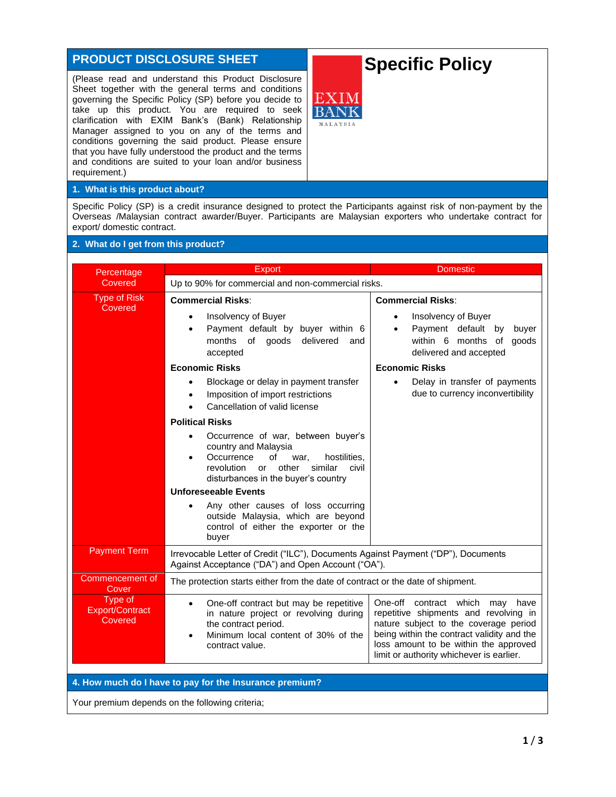## **PRODUCT DISCLOSURE SHEET**

(Please read and understand this Product Disclosure Sheet together with the general terms and conditions governing the Specific Policy (SP) before you decide to take up this product. You are required to seek clarification with EXIM Bank's (Bank) Relationship Manager assigned to you on any of the terms and conditions governing the said product. Please ensure that you have fully understood the product and the terms and conditions are suited to your loan and/or business requirement.)

# **Specific Policy**



#### **1. What is this product about?**

Specific Policy (SP) is a credit insurance designed to protect the Participants against risk of non-payment by the Overseas /Malaysian contract awarder/Buyer. Participants are Malaysian exporters who undertake contract for export/ domestic contract.

### **2. What do I get from this product?**

| Percentage                                              | <b>Export</b>                                                                                                                                                                                                                                                                                                                                                                                                                                                                                                                                                                                                                                                                                                    | <b>Domestic</b>                                                                                                                                                                                                                                            |  |  |
|---------------------------------------------------------|------------------------------------------------------------------------------------------------------------------------------------------------------------------------------------------------------------------------------------------------------------------------------------------------------------------------------------------------------------------------------------------------------------------------------------------------------------------------------------------------------------------------------------------------------------------------------------------------------------------------------------------------------------------------------------------------------------------|------------------------------------------------------------------------------------------------------------------------------------------------------------------------------------------------------------------------------------------------------------|--|--|
| Covered                                                 | Up to 90% for commercial and non-commercial risks.                                                                                                                                                                                                                                                                                                                                                                                                                                                                                                                                                                                                                                                               |                                                                                                                                                                                                                                                            |  |  |
| Type of Risk<br>Covered                                 | <b>Commercial Risks:</b><br>Insolvency of Buyer<br>$\bullet$<br>Payment default by buyer within 6<br>$\bullet$<br>delivered<br>months of goods<br>and<br>accepted<br><b>Economic Risks</b><br>Blockage or delay in payment transfer<br>Imposition of import restrictions<br>$\bullet$<br>Cancellation of valid license<br><b>Political Risks</b><br>Occurrence of war, between buyer's<br>country and Malaysia<br>Occurrence<br>hostilities.<br>οf<br>war.<br>$\bullet$<br>similar<br>revolution or<br>other<br>civil<br>disturbances in the buyer's country<br><b>Unforeseeable Events</b><br>Any other causes of loss occurring<br>outside Malaysia, which are beyond<br>control of either the exporter or the | <b>Commercial Risks:</b><br>Insolvency of Buyer<br>Payment default<br>by<br>buyer<br>within 6 months of<br>goods<br>delivered and accepted<br><b>Economic Risks</b><br>Delay in transfer of payments<br>due to currency inconvertibility                   |  |  |
|                                                         | buyer                                                                                                                                                                                                                                                                                                                                                                                                                                                                                                                                                                                                                                                                                                            |                                                                                                                                                                                                                                                            |  |  |
| <b>Payment Term</b>                                     | Irrevocable Letter of Credit ("ILC"), Documents Against Payment ("DP"), Documents<br>Against Acceptance ("DA") and Open Account ("OA").                                                                                                                                                                                                                                                                                                                                                                                                                                                                                                                                                                          |                                                                                                                                                                                                                                                            |  |  |
| Commencement of<br>Cover                                | The protection starts either from the date of contract or the date of shipment.                                                                                                                                                                                                                                                                                                                                                                                                                                                                                                                                                                                                                                  |                                                                                                                                                                                                                                                            |  |  |
| Type of<br>Export/Contract<br>Covered                   | One-off contract but may be repetitive<br>in nature project or revolving during<br>the contract period.<br>Minimum local content of 30% of the<br>contract value.                                                                                                                                                                                                                                                                                                                                                                                                                                                                                                                                                | One-off contract which<br>may<br>have<br>repetitive shipments and revolving in<br>nature subject to the coverage period<br>being within the contract validity and the<br>loss amount to be within the approved<br>limit or authority whichever is earlier. |  |  |
| 4. How much do I have to pay for the Insurance premium? |                                                                                                                                                                                                                                                                                                                                                                                                                                                                                                                                                                                                                                                                                                                  |                                                                                                                                                                                                                                                            |  |  |
|                                                         |                                                                                                                                                                                                                                                                                                                                                                                                                                                                                                                                                                                                                                                                                                                  |                                                                                                                                                                                                                                                            |  |  |

Your premium depends on the following criteria;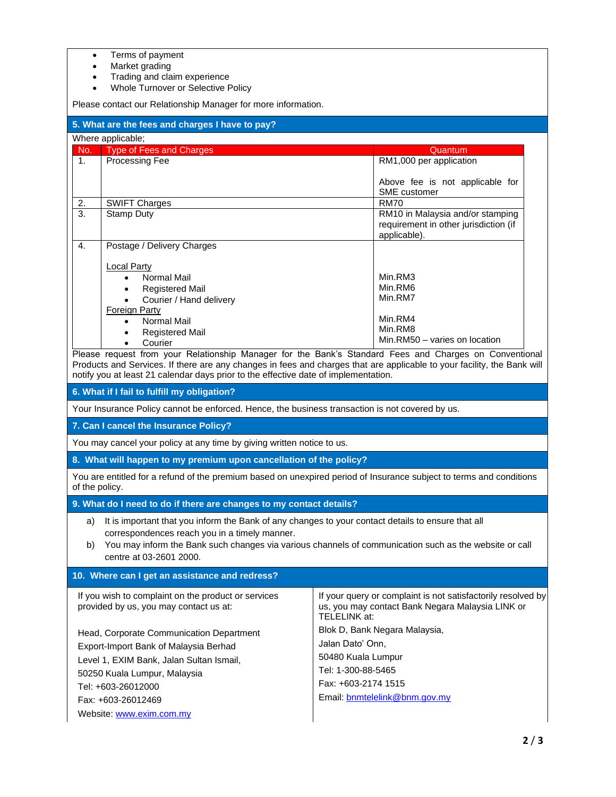- Terms of payment
- Market grading

Fax: +603-26012469

Website: [www.exim.com.my](http://www.exim.com.my/)

- Trading and claim experience
- Whole Turnover or Selective Policy

Please contact our Relationship Manager for more information.

| r icase contact our relationship ividingler for more imomiation.                                                                                                                                                                                                                                                                                                                                                                                                                                                                                                              |                                                                                                                                                                                                                                                                                          |                                                                                                                                         |  |  |
|-------------------------------------------------------------------------------------------------------------------------------------------------------------------------------------------------------------------------------------------------------------------------------------------------------------------------------------------------------------------------------------------------------------------------------------------------------------------------------------------------------------------------------------------------------------------------------|------------------------------------------------------------------------------------------------------------------------------------------------------------------------------------------------------------------------------------------------------------------------------------------|-----------------------------------------------------------------------------------------------------------------------------------------|--|--|
| 5. What are the fees and charges I have to pay?                                                                                                                                                                                                                                                                                                                                                                                                                                                                                                                               |                                                                                                                                                                                                                                                                                          |                                                                                                                                         |  |  |
| Where applicable;                                                                                                                                                                                                                                                                                                                                                                                                                                                                                                                                                             |                                                                                                                                                                                                                                                                                          |                                                                                                                                         |  |  |
| No.                                                                                                                                                                                                                                                                                                                                                                                                                                                                                                                                                                           | <b>Type of Fees and Charges</b>                                                                                                                                                                                                                                                          | Quantum                                                                                                                                 |  |  |
| 1.                                                                                                                                                                                                                                                                                                                                                                                                                                                                                                                                                                            | Processing Fee                                                                                                                                                                                                                                                                           | RM1,000 per application                                                                                                                 |  |  |
|                                                                                                                                                                                                                                                                                                                                                                                                                                                                                                                                                                               |                                                                                                                                                                                                                                                                                          | Above fee is not applicable for<br><b>SME</b> customer                                                                                  |  |  |
| 2.                                                                                                                                                                                                                                                                                                                                                                                                                                                                                                                                                                            | <b>SWIFT Charges</b>                                                                                                                                                                                                                                                                     | <b>RM70</b>                                                                                                                             |  |  |
| $\overline{3}$ .                                                                                                                                                                                                                                                                                                                                                                                                                                                                                                                                                              | <b>Stamp Duty</b>                                                                                                                                                                                                                                                                        | RM10 in Malaysia and/or stamping<br>requirement in other jurisdiction (if<br>applicable).                                               |  |  |
| 4.                                                                                                                                                                                                                                                                                                                                                                                                                                                                                                                                                                            | Postage / Delivery Charges                                                                                                                                                                                                                                                               |                                                                                                                                         |  |  |
| <b>Local Party</b><br><b>Normal Mail</b><br>$\bullet$<br><b>Registered Mail</b><br>$\bullet$<br>Courier / Hand delivery<br><b>Foreign Party</b><br><b>Normal Mail</b><br>$\bullet$<br><b>Registered Mail</b><br>$\bullet$<br>Courier<br>$\bullet$<br>Please request from your Relationship Manager for the Bank's Standard Fees and Charges on Conventional<br>Products and Services. If there are any changes in fees and charges that are applicable to your facility, the Bank will<br>notify you at least 21 calendar days prior to the effective date of implementation. |                                                                                                                                                                                                                                                                                          | Min.RM3<br>Min.RM6<br>Min.RM7<br>Min.RM4<br>Min.RM8<br>Min.RM50 - varies on location                                                    |  |  |
| 6. What if I fail to fulfill my obligation?                                                                                                                                                                                                                                                                                                                                                                                                                                                                                                                                   |                                                                                                                                                                                                                                                                                          |                                                                                                                                         |  |  |
| Your Insurance Policy cannot be enforced. Hence, the business transaction is not covered by us.                                                                                                                                                                                                                                                                                                                                                                                                                                                                               |                                                                                                                                                                                                                                                                                          |                                                                                                                                         |  |  |
| 7. Can I cancel the Insurance Policy?                                                                                                                                                                                                                                                                                                                                                                                                                                                                                                                                         |                                                                                                                                                                                                                                                                                          |                                                                                                                                         |  |  |
| You may cancel your policy at any time by giving written notice to us.                                                                                                                                                                                                                                                                                                                                                                                                                                                                                                        |                                                                                                                                                                                                                                                                                          |                                                                                                                                         |  |  |
|                                                                                                                                                                                                                                                                                                                                                                                                                                                                                                                                                                               | 8. What will happen to my premium upon cancellation of the policy?                                                                                                                                                                                                                       |                                                                                                                                         |  |  |
| You are entitled for a refund of the premium based on unexpired period of Insurance subject to terms and conditions<br>of the policy.                                                                                                                                                                                                                                                                                                                                                                                                                                         |                                                                                                                                                                                                                                                                                          |                                                                                                                                         |  |  |
| 9. What do I need to do if there are changes to my contact details?                                                                                                                                                                                                                                                                                                                                                                                                                                                                                                           |                                                                                                                                                                                                                                                                                          |                                                                                                                                         |  |  |
| a)<br>b)                                                                                                                                                                                                                                                                                                                                                                                                                                                                                                                                                                      | It is important that you inform the Bank of any changes to your contact details to ensure that all<br>correspondences reach you in a timely manner.<br>You may inform the Bank such changes via various channels of communication such as the website or call<br>centre at 03-2601 2000. |                                                                                                                                         |  |  |
| 10. Where can I get an assistance and redress?                                                                                                                                                                                                                                                                                                                                                                                                                                                                                                                                |                                                                                                                                                                                                                                                                                          |                                                                                                                                         |  |  |
| If you wish to complaint on the product or services<br>provided by us, you may contact us at:                                                                                                                                                                                                                                                                                                                                                                                                                                                                                 |                                                                                                                                                                                                                                                                                          | If your query or complaint is not satisfactorily resolved by<br>us, you may contact Bank Negara Malaysia LINK or<br><b>TELELINK at:</b> |  |  |
| Head, Corporate Communication Department                                                                                                                                                                                                                                                                                                                                                                                                                                                                                                                                      |                                                                                                                                                                                                                                                                                          | Blok D, Bank Negara Malaysia,                                                                                                           |  |  |
| Export-Import Bank of Malaysia Berhad                                                                                                                                                                                                                                                                                                                                                                                                                                                                                                                                         |                                                                                                                                                                                                                                                                                          | Jalan Dato' Onn,                                                                                                                        |  |  |
| Level 1, EXIM Bank, Jalan Sultan Ismail,                                                                                                                                                                                                                                                                                                                                                                                                                                                                                                                                      |                                                                                                                                                                                                                                                                                          | 50480 Kuala Lumpur                                                                                                                      |  |  |
| 50250 Kuala Lumpur, Malaysia                                                                                                                                                                                                                                                                                                                                                                                                                                                                                                                                                  |                                                                                                                                                                                                                                                                                          | Tel: 1-300-88-5465                                                                                                                      |  |  |
| Tel: +603-26012000                                                                                                                                                                                                                                                                                                                                                                                                                                                                                                                                                            |                                                                                                                                                                                                                                                                                          | Fax: +603-2174 1515                                                                                                                     |  |  |

Email: [bnmtelelink@bnm.gov.my](mailto:bnmtelelink@bnm.gov.my)